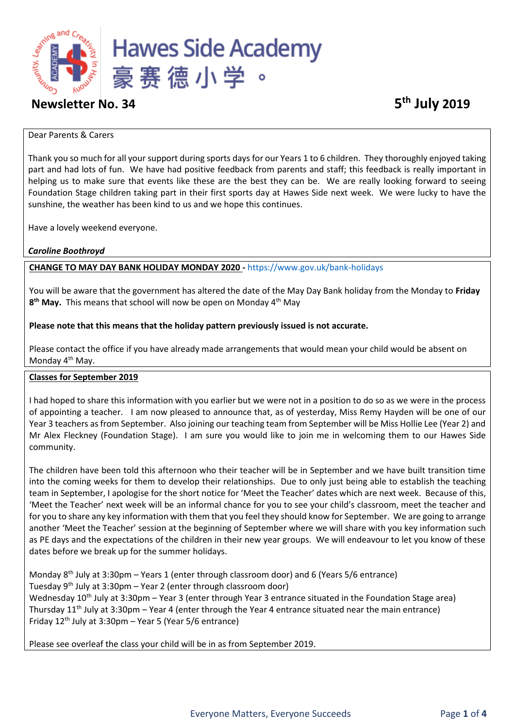

# **Newsletter No. 34**

#### Dear Parents & Carers

Thank you so much for all your support during sports days for our Years 1 to 6 children. They thoroughly enjoyed taking part and had lots of fun. We have had positive feedback from parents and staff; this feedback is really important in helping us to make sure that events like these are the best they can be. We are really looking forward to seeing Foundation Stage children taking part in their first sports day at Hawes Side next week. We were lucky to have the sunshine, the weather has been kind to us and we hope this continues.

Have a lovely weekend everyone.

## *Caroline Boothroyd*

## **CHANGE TO MAY DAY BANK HOLIDAY MONDAY 2020 -** <https://www.gov.uk/bank-holidays>

You will be aware that the government has altered the date of the May Day Bank holiday from the Monday to **Friday 8 th May.** This means that school will now be open on Monday 4th May

### **Please note that this means that the holiday pattern previously issued is not accurate.**

Please contact the office if you have already made arrangements that would mean your child would be absent on Monday 4<sup>th</sup> May.

### **Classes for September 2019**

I had hoped to share this information with you earlier but we were not in a position to do so as we were in the process of appointing a teacher. I am now pleased to announce that, as of yesterday, Miss Remy Hayden will be one of our Year 3 teachers as from September. Also joining our teaching team from September will be Miss Hollie Lee (Year 2) and Mr Alex Fleckney (Foundation Stage). I am sure you would like to join me in welcoming them to our Hawes Side community.

The children have been told this afternoon who their teacher will be in September and we have built transition time into the coming weeks for them to develop their relationships. Due to only just being able to establish the teaching team in September, I apologise for the short notice for 'Meet the Teacher' dates which are next week. Because of this, 'Meet the Teacher' next week will be an informal chance for you to see your child's classroom, meet the teacher and for you to share any key information with them that you feel they should know for September. We are going to arrange another 'Meet the Teacher' session at the beginning of September where we will share with you key information such as PE days and the expectations of the children in their new year groups. We will endeavour to let you know of these dates before we break up for the summer holidays.

Monday  $8<sup>th</sup>$  July at 3:30pm – Years 1 (enter through classroom door) and 6 (Years 5/6 entrance) Tuesday  $9<sup>th</sup>$  July at 3:30pm – Year 2 (enter through classroom door) Wednesday 10<sup>th</sup> July at 3:30pm – Year 3 (enter through Year 3 entrance situated in the Foundation Stage area) Thursday  $11<sup>th</sup>$  July at 3:30pm – Year 4 (enter through the Year 4 entrance situated near the main entrance) Friday  $12<sup>th</sup>$  July at 3:30pm – Year 5 (Year 5/6 entrance)

Please see overleaf the class your child will be in as from September 2019.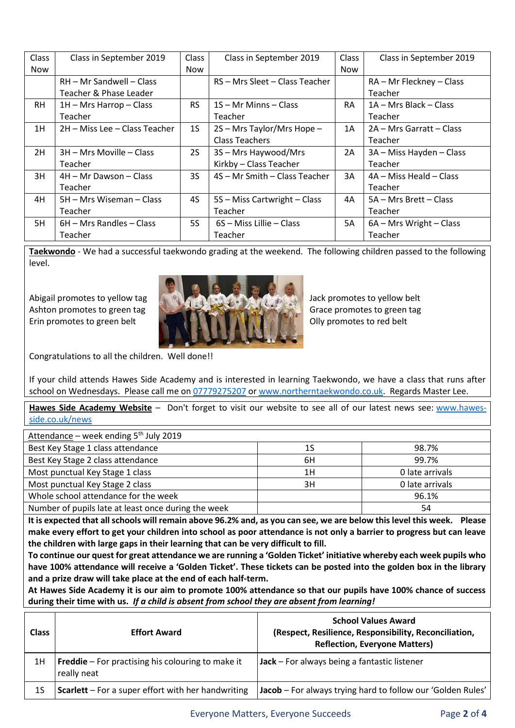| Class      | Class in September 2019       | Class          | Class in September 2019        | Class     | Class in September 2019  |
|------------|-------------------------------|----------------|--------------------------------|-----------|--------------------------|
| <b>Now</b> |                               | Now            |                                | Now       |                          |
|            | RH - Mr Sandwell - Class      |                | RS - Mrs Sleet - Class Teacher |           | RA - Mr Fleckney - Class |
|            | Teacher & Phase Leader        |                |                                |           | Teacher                  |
| RH.        | $1H$ – Mrs Harrop – Class     | <b>RS</b>      | $1S - Mr$ Minns $-$ Class      | <b>RA</b> | 1A – Mrs Black – Class   |
|            | Teacher                       |                | Teacher                        |           | Teacher                  |
| 1H         | 2H - Miss Lee - Class Teacher | 1 <sub>S</sub> | 2S - Mrs Taylor/Mrs Hope -     | 1A        | 2A – Mrs Garratt – Class |
|            |                               |                | <b>Class Teachers</b>          |           | Teacher                  |
| 2H         | 3H - Mrs Moville - Class      | 2S             | 3S - Mrs Haywood/Mrs           | 2A        | 3A - Miss Hayden - Class |
|            | Teacher                       |                | Kirkby - Class Teacher         |           | Teacher                  |
| 3H         | 4H - Mr Dawson - Class        | 3S             | 4S - Mr Smith - Class Teacher  | 3A        | 4A – Miss Heald – Class  |
|            | Teacher                       |                |                                |           | Teacher                  |
| 4H         | 5H – Mrs Wiseman – Class      | 4S             | 5S – Miss Cartwright – Class   | 4A        | 5A - Mrs Brett - Class   |
|            | Teacher                       |                | Teacher                        |           | Teacher                  |
| 5H         | 6H – Mrs Randles – Class      | <b>5S</b>      | 6S - Miss Lillie - Class       | 5A        | 6A - Mrs Wright - Class  |
|            | Teacher                       |                | Teacher                        |           | Teacher                  |

**Taekwondo** - We had a successful taekwondo grading at the weekend. The following children passed to the following level.



Congratulations to all the children. Well done!!

If your child attends Hawes Side Academy and is interested in learning Taekwondo, we have a class that runs after school on Wednesdays. Please call me on [07779275207](tel:07779275207) or [www.northerntaekwondo.co.uk.](http://www.northerntaekwondo.co.uk/) Regards Master Lee.

**Hawes Side Academy Website** – Don't forget to visit our website to see all of our latest news see: [www.hawes](http://www.hawes-side.co.uk/news)[side.co.uk/news](http://www.hawes-side.co.uk/news)

| Attendance – week ending $5th$ July 2019            |    |                 |  |
|-----------------------------------------------------|----|-----------------|--|
| Best Key Stage 1 class attendance                   | 1S | 98.7%           |  |
| Best Key Stage 2 class attendance                   | 6H | 99.7%           |  |
| Most punctual Key Stage 1 class                     | 1H | 0 late arrivals |  |
| Most punctual Key Stage 2 class                     | 3H | 0 late arrivals |  |
| Whole school attendance for the week                |    | 96.1%           |  |
| Number of pupils late at least once during the week |    | 54              |  |

**It is expected that all schools will remain above 96.2% and, as you can see, we are below this level this week. Please make every effort to get your children into school as poor attendance is not only a barrier to progress but can leave the children with large gaps in their learning that can be very difficult to fill.** 

**To continue our quest for great attendance we are running a 'Golden Ticket' initiative whereby each week pupils who have 100% attendance will receive a 'Golden Ticket'. These tickets can be posted into the golden box in the library and a prize draw will take place at the end of each half-term.** 

**At Hawes Side Academy it is our aim to promote 100% attendance so that our pupils have 100% chance of success during their time with us.** *If a child is absent from school they are absent from learning!*

| <b>Class</b> | <b>Effort Award</b>                                                     | <b>School Values Award</b><br>(Respect, Resilience, Responsibility, Reconciliation,<br><b>Reflection, Everyone Matters)</b> |
|--------------|-------------------------------------------------------------------------|-----------------------------------------------------------------------------------------------------------------------------|
| 1H           | <b>Freddie</b> – For practising his colouring to make it<br>really neat | Jack – For always being a fantastic listener                                                                                |
| 1S           | <b>Scarlett</b> – For a super effort with her handwriting               | Jacob - For always trying hard to follow our 'Golden Rules'                                                                 |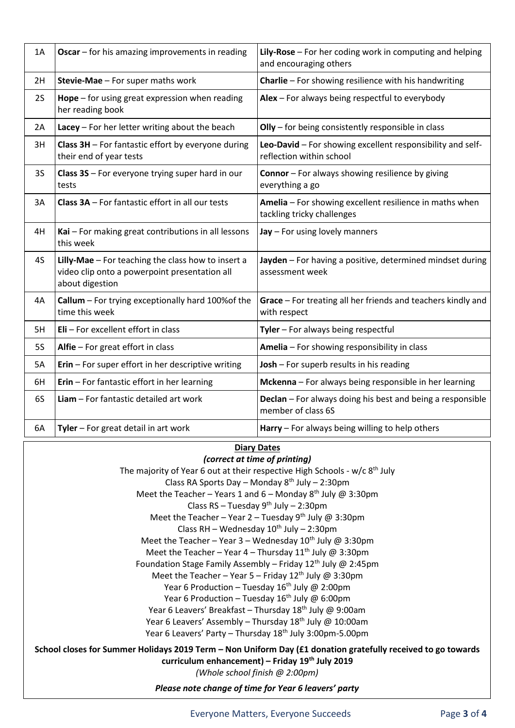| 1A        | Oscar - for his amazing improvements in reading                                                                        | Lily-Rose - For her coding work in computing and helping<br>and encouraging others     |  |  |
|-----------|------------------------------------------------------------------------------------------------------------------------|----------------------------------------------------------------------------------------|--|--|
| 2H        | Stevie-Mae - For super maths work                                                                                      | Charlie - For showing resilience with his handwriting                                  |  |  |
| 2S        | <b>Hope</b> $-$ for using great expression when reading<br>her reading book                                            | Alex - For always being respectful to everybody                                        |  |  |
| 2A        | Lacey - For her letter writing about the beach                                                                         | Olly - for being consistently responsible in class                                     |  |  |
| 3H        | Class 3H - For fantastic effort by everyone during<br>their end of year tests                                          | Leo-David - For showing excellent responsibility and self-<br>reflection within school |  |  |
| <b>3S</b> | Class 3S - For everyone trying super hard in our<br>tests                                                              | <b>Connor</b> - For always showing resilience by giving<br>everything a go             |  |  |
| 3A        | Class 3A - For fantastic effort in all our tests                                                                       | Amelia - For showing excellent resilience in maths when<br>tackling tricky challenges  |  |  |
| 4H        | Kai - For making great contributions in all lessons<br>this week                                                       | Jay - For using lovely manners                                                         |  |  |
| 4S        | Lilly-Mae - For teaching the class how to insert a<br>video clip onto a powerpoint presentation all<br>about digestion | Jayden - For having a positive, determined mindset during<br>assessment week           |  |  |
| 4A        | Callum - For trying exceptionally hard 100% of the<br>time this week                                                   | Grace - For treating all her friends and teachers kindly and<br>with respect           |  |  |
| 5H        | Eli - For excellent effort in class                                                                                    | Tyler - For always being respectful                                                    |  |  |
| <b>5S</b> | Alfie - For great effort in class                                                                                      | Amelia - For showing responsibility in class                                           |  |  |
| 5A        | Erin - For super effort in her descriptive writing                                                                     | Josh - For superb results in his reading                                               |  |  |
| 6H        | Erin - For fantastic effort in her learning                                                                            | Mckenna - For always being responsible in her learning                                 |  |  |
| 6S        | Liam - For fantastic detailed art work                                                                                 | Declan - For always doing his best and being a responsible<br>member of class 6S       |  |  |
| 6A        | Tyler - For great detail in art work                                                                                   | Harry - For always being willing to help others                                        |  |  |

## **Diary Dates**

| (correct at time of printing)                                                                                                                                                                     |
|---------------------------------------------------------------------------------------------------------------------------------------------------------------------------------------------------|
| The majority of Year 6 out at their respective High Schools - $w/c$ 8 <sup>th</sup> July                                                                                                          |
| Class RA Sports Day - Monday 8 <sup>th</sup> July - 2:30pm                                                                                                                                        |
| Meet the Teacher - Years 1 and 6 - Monday $8^{th}$ July @ 3:30pm                                                                                                                                  |
| Class RS - Tuesday $9^{th}$ July - 2:30pm                                                                                                                                                         |
| Meet the Teacher - Year 2 - Tuesday 9 <sup>th</sup> July @ 3:30pm                                                                                                                                 |
| Class RH - Wednesday $10^{th}$ July - 2:30pm                                                                                                                                                      |
| Meet the Teacher – Year 3 – Wednesday $10^{th}$ July @ 3:30pm                                                                                                                                     |
| Meet the Teacher - Year 4 - Thursday $11th$ July @ 3:30pm                                                                                                                                         |
| Foundation Stage Family Assembly - Friday $12^{th}$ July @ 2:45pm                                                                                                                                 |
| Meet the Teacher - Year 5 - Friday $12^{th}$ July @ 3:30pm                                                                                                                                        |
| Year 6 Production - Tuesday $16^{th}$ July @ 2:00pm                                                                                                                                               |
| Year 6 Production - Tuesday $16^{th}$ July @ 6:00pm                                                                                                                                               |
| Year 6 Leavers' Breakfast - Thursday 18 <sup>th</sup> July @ 9:00am                                                                                                                               |
| Year 6 Leavers' Assembly - Thursday 18 <sup>th</sup> July @ 10:00am                                                                                                                               |
| Year 6 Leavers' Party – Thursday 18 <sup>th</sup> July 3:00pm-5.00pm                                                                                                                              |
| School closes for Summer Holidays 2019 Term - Non Uniform Day (£1 donation gratefully received to go towards<br>curriculum enhancement) - Friday 19th July 2019<br>(Whole school finish @ 2:00pm) |
| Please note change of time for Year 6 leavers' party                                                                                                                                              |